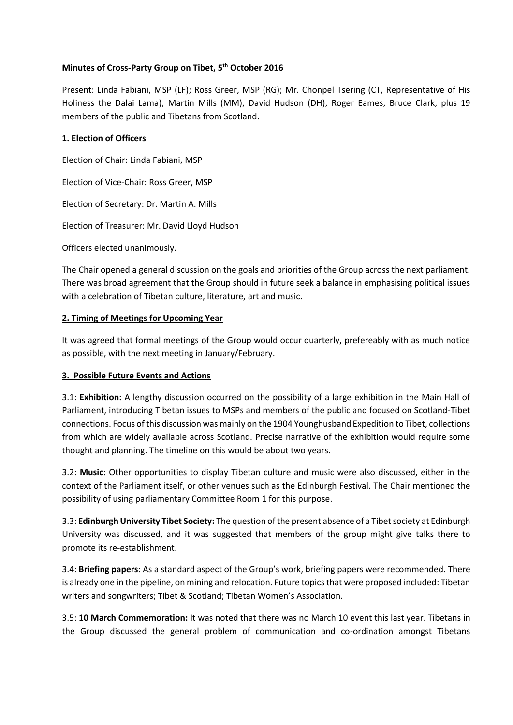# **Minutes of Cross-Party Group on Tibet, 5 th October 2016**

Present: Linda Fabiani, MSP (LF); Ross Greer, MSP (RG); Mr. Chonpel Tsering (CT, Representative of His Holiness the Dalai Lama), Martin Mills (MM), David Hudson (DH), Roger Eames, Bruce Clark, plus 19 members of the public and Tibetans from Scotland.

#### **1. Election of Officers**

Election of Chair: Linda Fabiani, MSP

Election of Vice-Chair: Ross Greer, MSP

Election of Secretary: Dr. Martin A. Mills

Election of Treasurer: Mr. David Lloyd Hudson

Officers elected unanimously.

The Chair opened a general discussion on the goals and priorities of the Group across the next parliament. There was broad agreement that the Group should in future seek a balance in emphasising political issues with a celebration of Tibetan culture, literature, art and music.

#### **2. Timing of Meetings for Upcoming Year**

It was agreed that formal meetings of the Group would occur quarterly, prefereably with as much notice as possible, with the next meeting in January/February.

# **3. Possible Future Events and Actions**

3.1: **Exhibition:** A lengthy discussion occurred on the possibility of a large exhibition in the Main Hall of Parliament, introducing Tibetan issues to MSPs and members of the public and focused on Scotland-Tibet connections. Focus of this discussion was mainly on the 1904 Younghusband Expedition to Tibet, collections from which are widely available across Scotland. Precise narrative of the exhibition would require some thought and planning. The timeline on this would be about two years.

3.2: **Music:** Other opportunities to display Tibetan culture and music were also discussed, either in the context of the Parliament itself, or other venues such as the Edinburgh Festival. The Chair mentioned the possibility of using parliamentary Committee Room 1 for this purpose.

3.3: **Edinburgh University Tibet Society:** The question of the present absence of a Tibet society at Edinburgh University was discussed, and it was suggested that members of the group might give talks there to promote its re-establishment.

3.4: **Briefing papers**: As a standard aspect of the Group's work, briefing papers were recommended. There is already one in the pipeline, on mining and relocation. Future topics that were proposed included: Tibetan writers and songwriters; Tibet & Scotland; Tibetan Women's Association.

3.5: **10 March Commemoration:** It was noted that there was no March 10 event this last year. Tibetans in the Group discussed the general problem of communication and co-ordination amongst Tibetans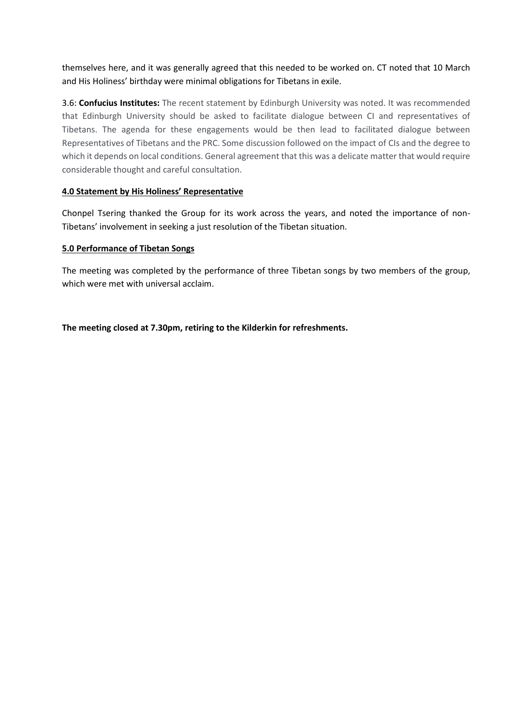themselves here, and it was generally agreed that this needed to be worked on. CT noted that 10 March and His Holiness' birthday were minimal obligations for Tibetans in exile.

3.6: **Confucius Institutes:** The recent statement by Edinburgh University was noted. It was recommended that Edinburgh University should be asked to facilitate dialogue between CI and representatives of Tibetans. The agenda for these engagements would be then lead to facilitated dialogue between Representatives of Tibetans and the PRC. Some discussion followed on the impact of CIs and the degree to which it depends on local conditions. General agreement that this was a delicate matter that would require considerable thought and careful consultation.

# **4.0 Statement by His Holiness' Representative**

Chonpel Tsering thanked the Group for its work across the years, and noted the importance of non-Tibetans' involvement in seeking a just resolution of the Tibetan situation.

#### **5.0 Performance of Tibetan Songs**

The meeting was completed by the performance of three Tibetan songs by two members of the group, which were met with universal acclaim.

**The meeting closed at 7.30pm, retiring to the Kilderkin for refreshments.**